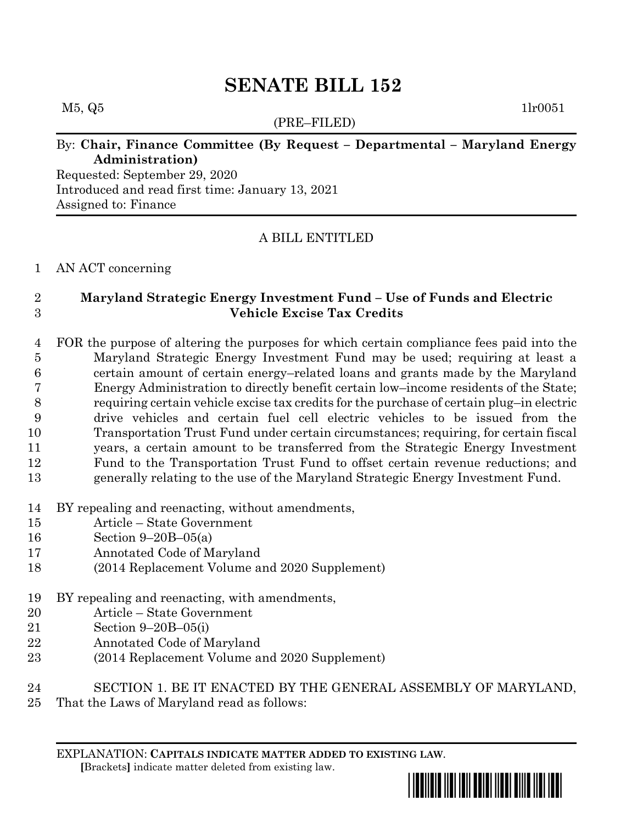# **SENATE BILL 152**

#### $M5, Q5$  1lr0051

(PRE–FILED)

### By: **Chair, Finance Committee (By Request – Departmental – Maryland Energy Administration)**

Requested: September 29, 2020 Introduced and read first time: January 13, 2021 Assigned to: Finance

#### A BILL ENTITLED

#### AN ACT concerning

## **Maryland Strategic Energy Investment Fund – Use of Funds and Electric Vehicle Excise Tax Credits**

 FOR the purpose of altering the purposes for which certain compliance fees paid into the Maryland Strategic Energy Investment Fund may be used; requiring at least a certain amount of certain energy–related loans and grants made by the Maryland Energy Administration to directly benefit certain low–income residents of the State; requiring certain vehicle excise tax credits for the purchase of certain plug–in electric drive vehicles and certain fuel cell electric vehicles to be issued from the Transportation Trust Fund under certain circumstances; requiring, for certain fiscal years, a certain amount to be transferred from the Strategic Energy Investment Fund to the Transportation Trust Fund to offset certain revenue reductions; and generally relating to the use of the Maryland Strategic Energy Investment Fund.

- BY repealing and reenacting, without amendments,
- Article State Government
- Section 9–20B–05(a)
- Annotated Code of Maryland
- (2014 Replacement Volume and 2020 Supplement)
- BY repealing and reenacting, with amendments,
- Article State Government
- Section 9–20B–05(i)
- Annotated Code of Maryland
- (2014 Replacement Volume and 2020 Supplement)
- SECTION 1. BE IT ENACTED BY THE GENERAL ASSEMBLY OF MARYLAND,
- That the Laws of Maryland read as follows:

EXPLANATION: **CAPITALS INDICATE MATTER ADDED TO EXISTING LAW**.  **[**Brackets**]** indicate matter deleted from existing law.

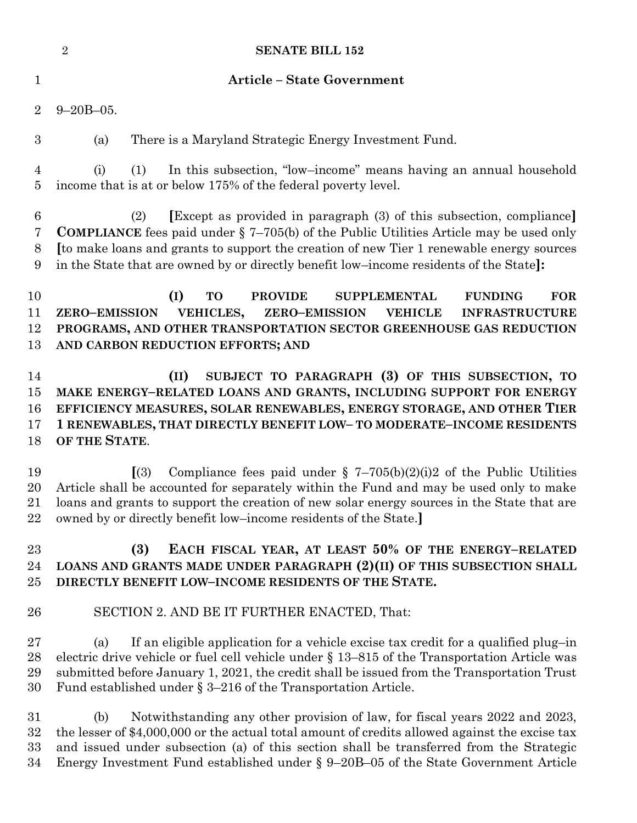|                                 | $\sqrt{2}$<br><b>SENATE BILL 152</b>                                                                                                                                                                                                                                                                                                                                      |
|---------------------------------|---------------------------------------------------------------------------------------------------------------------------------------------------------------------------------------------------------------------------------------------------------------------------------------------------------------------------------------------------------------------------|
| $\mathbf{1}$                    | <b>Article - State Government</b>                                                                                                                                                                                                                                                                                                                                         |
| $\overline{2}$                  | $9 - 20B - 05$ .                                                                                                                                                                                                                                                                                                                                                          |
| $\boldsymbol{3}$                | There is a Maryland Strategic Energy Investment Fund.<br>(a)                                                                                                                                                                                                                                                                                                              |
| 4<br>$\overline{5}$             | In this subsection, "low-income" means having an annual household<br>(1)<br>(i)<br>income that is at or below 175% of the federal poverty level.                                                                                                                                                                                                                          |
| $\boldsymbol{6}$<br>7<br>8<br>9 | [Except as provided in paragraph (3) of this subsection, compliance]<br>(2)<br><b>COMPLIANCE</b> fees paid under $\S$ 7–705(b) of the Public Utilities Article may be used only<br>It to make loans and grants to support the creation of new Tier 1 renewable energy sources<br>in the State that are owned by or directly benefit low-income residents of the State]:   |
| 10<br>11<br>12<br>13            | (I)<br><b>TO</b><br><b>PROVIDE</b><br><b>SUPPLEMENTAL</b><br><b>FUNDING</b><br><b>FOR</b><br>VEHICLES,<br><b>ZERO-EMISSION</b><br><b>ZERO-EMISSION</b><br><b>VEHICLE</b><br><b>INFRASTRUCTURE</b><br>PROGRAMS, AND OTHER TRANSPORTATION SECTOR GREENHOUSE GAS REDUCTION<br>AND CARBON REDUCTION EFFORTS; AND                                                              |
| 14<br>15<br>16<br>17<br>18      | SUBJECT TO PARAGRAPH (3) OF THIS SUBSECTION, TO<br>(II)<br>MAKE ENERGY-RELATED LOANS AND GRANTS, INCLUDING SUPPORT FOR ENERGY<br>EFFICIENCY MEASURES, SOLAR RENEWABLES, ENERGY STORAGE, AND OTHER TIER<br>1 RENEWABLES, THAT DIRECTLY BENEFIT LOW- TO MODERATE-INCOME RESIDENTS<br>OF THE STATE.                                                                          |
| 19<br>20<br>21<br>22            | Compliance fees paid under § 7-705(b)(2)(i)2 of the Public Utilities<br>$\Gamma(3)$<br>Article shall be accounted for separately within the Fund and may be used only to make<br>loans and grants to support the creation of new solar energy sources in the State that are<br>owned by or directly benefit low-income residents of the State.                            |
| 23<br>24<br>25                  | EACH FISCAL YEAR, AT LEAST 50% OF THE ENERGY-RELATED<br>(3)<br>LOANS AND GRANTS MADE UNDER PARAGRAPH (2)(II) OF THIS SUBSECTION SHALL<br>DIRECTLY BENEFIT LOW-INCOME RESIDENTS OF THE STATE.                                                                                                                                                                              |
| 26                              | SECTION 2. AND BE IT FURTHER ENACTED, That:                                                                                                                                                                                                                                                                                                                               |
| $27\,$<br>28<br>29<br>30        | If an eligible application for a vehicle excise tax credit for a qualified plug-in<br>(a)<br>electric drive vehicle or fuel cell vehicle under § 13–815 of the Transportation Article was<br>submitted before January 1, 2021, the credit shall be issued from the Transportation Trust<br>Fund established under $\S 3-216$ of the Transportation Article.               |
| $31\,$<br>32<br>33<br>34        | Notwithstanding any other provision of law, for fiscal years 2022 and 2023,<br>(b)<br>the lesser of \$4,000,000 or the actual total amount of credits allowed against the excise tax<br>and issued under subsection (a) of this section shall be transferred from the Strategic<br>Energy Investment Fund established under $\S 9-20B-05$ of the State Government Article |
|                                 |                                                                                                                                                                                                                                                                                                                                                                           |